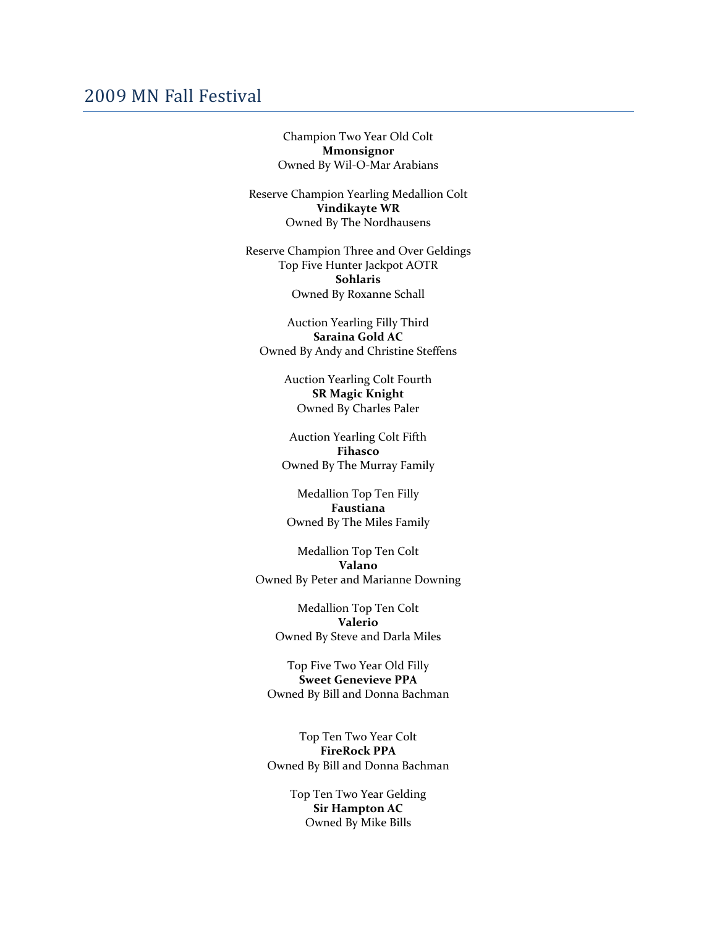## 2009 MN Fall Festival

Champion Two Year Old Colt **Mmonsignor** Owned By Wil‐O‐Mar Arabians

Reserve Champion Yearling Medallion Colt **Vindikayte WR** Owned By The Nordhausens

Reserve Champion Three and Over Geldings Top Five Hunter Jackpot AOTR **Sohlaris** Owned By Roxanne Schall

Auction Yearling Filly Third **Saraina Gold AC** Owned By Andy and Christine Steffens

> Auction Yearling Colt Fourth **SR Magic Knight** Owned By Charles Paler

Auction Yearling Colt Fifth **Fihasco** Owned By The Murray Family

Medallion Top Ten Filly **Faustiana** Owned By The Miles Family

Medallion Top Ten Colt **Valano** Owned By Peter and Marianne Downing

Medallion Top Ten Colt **Valerio** Owned By Steve and Darla Miles

Top Five Two Year Old Filly **Sweet Genevieve PPA** Owned By Bill and Donna Bachman

Top Ten Two Year Colt **FireRock PPA** Owned By Bill and Donna Bachman

> Top Ten Two Year Gelding **Sir Hampton AC** Owned By Mike Bills